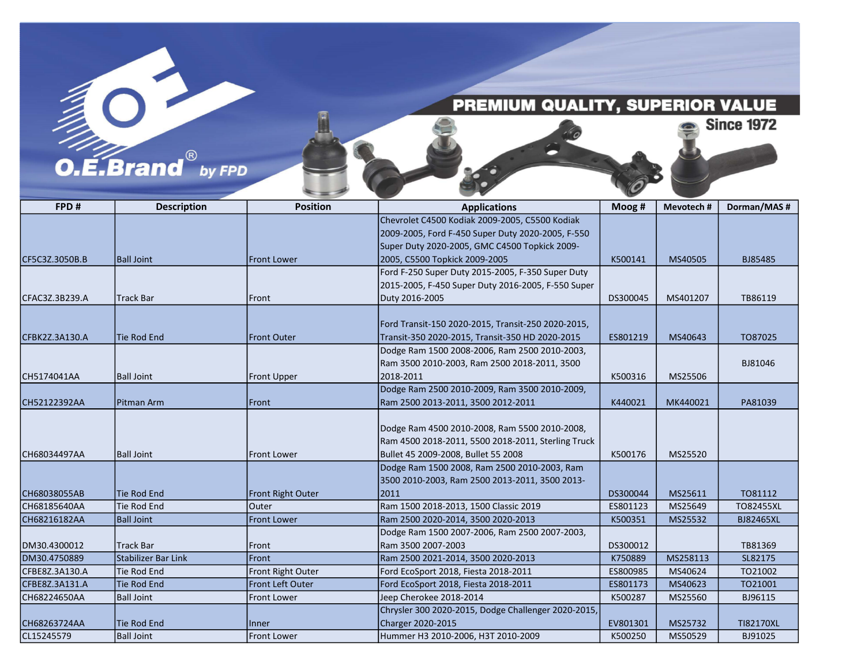## PREMIUM QUALITY, SUPERIOR VALUE

**Since 1972** 

## $O.E.Brand<sup>®</sup>$  by FPD

| FPD#           | <b>Description</b>  | <b>Position</b>     | <b>Applications</b>                                 | Moog #   | Mevotech# | Dorman/MAS#      |
|----------------|---------------------|---------------------|-----------------------------------------------------|----------|-----------|------------------|
|                |                     |                     | Chevrolet C4500 Kodiak 2009-2005, C5500 Kodiak      |          |           |                  |
|                |                     |                     | 2009-2005, Ford F-450 Super Duty 2020-2005, F-550   |          |           |                  |
|                |                     |                     | Super Duty 2020-2005, GMC C4500 Topkick 2009-       |          |           |                  |
| CF5C3Z.3050B.B | <b>Ball Joint</b>   | <b>Front Lower</b>  | 2005, C5500 Topkick 2009-2005                       | K500141  | MS40505   | BJ85485          |
|                |                     |                     | Ford F-250 Super Duty 2015-2005, F-350 Super Duty   |          |           |                  |
|                |                     |                     | 2015-2005, F-450 Super Duty 2016-2005, F-550 Super  |          |           |                  |
| CFAC3Z.3B239.A | <b>Track Bar</b>    | Front               | Duty 2016-2005                                      | DS300045 | MS401207  | TB86119          |
|                |                     |                     |                                                     |          |           |                  |
|                |                     |                     | Ford Transit-150 2020-2015, Transit-250 2020-2015,  |          |           |                  |
| CFBK2Z.3A130.A | <b>Tie Rod End</b>  | <b>Front Outer</b>  | Transit-350 2020-2015, Transit-350 HD 2020-2015     | ES801219 | MS40643   | TO87025          |
|                |                     |                     | Dodge Ram 1500 2008-2006, Ram 2500 2010-2003,       |          |           |                  |
|                |                     |                     | Ram 3500 2010-2003, Ram 2500 2018-2011, 3500        |          |           | BJ81046          |
| CH5174041AA    | <b>Ball Joint</b>   | <b>Front Upper</b>  | 2018-2011                                           | K500316  | MS25506   |                  |
|                |                     |                     | Dodge Ram 2500 2010-2009, Ram 3500 2010-2009,       |          |           |                  |
| CH52122392AA   | Pitman Arm          | <b>Front</b>        | Ram 2500 2013-2011, 3500 2012-2011                  | K440021  | MK440021  | PA81039          |
|                |                     |                     |                                                     |          |           |                  |
|                |                     |                     | Dodge Ram 4500 2010-2008, Ram 5500 2010-2008,       |          |           |                  |
|                |                     |                     | Ram 4500 2018-2011, 5500 2018-2011, Sterling Truck  |          |           |                  |
| CH68034497AA   | <b>Ball Joint</b>   | <b>Front Lower</b>  | Bullet 45 2009-2008, Bullet 55 2008                 | K500176  | MS25520   |                  |
|                |                     |                     | Dodge Ram 1500 2008, Ram 2500 2010-2003, Ram        |          |           |                  |
|                |                     |                     | 3500 2010-2003, Ram 2500 2013-2011, 3500 2013-      |          |           |                  |
| CH68038055AB   | <b>Tie Rod End</b>  | Front Right Outer   | 2011                                                | DS300044 | MS25611   | T081112          |
| CH68185640AA   | <b>Tie Rod End</b>  | <b>Outer</b>        | Ram 1500 2018-2013, 1500 Classic 2019               | ES801123 | MS25649   | <b>TO82455XL</b> |
| CH68216182AA   | <b>Ball Joint</b>   | <b>Front Lower</b>  | Ram 2500 2020-2014, 3500 2020-2013                  | K500351  | MS25532   | <b>BJ82465XL</b> |
|                |                     |                     | Dodge Ram 1500 2007-2006, Ram 2500 2007-2003,       |          |           |                  |
| DM30.4300012   | <b>Track Bar</b>    | Front               | Ram 3500 2007-2003                                  | DS300012 |           | TB81369          |
| DM30.4750889   | Stabilizer Bar Link | Front               | Ram 2500 2021-2014, 3500 2020-2013                  | K750889  | MS258113  | SL82175          |
| CFBE8Z.3A130.A | <b>Tie Rod End</b>  | Front Right Outer   | Ford EcoSport 2018, Fiesta 2018-2011                | ES800985 | MS40624   | TO21002          |
| CFBE8Z.3A131.A | <b>Tie Rod End</b>  | Front Left Outer    | Ford EcoSport 2018, Fiesta 2018-2011                | ES801173 | MS40623   | TO21001          |
| CH68224650AA   | <b>Ball Joint</b>   | <b>Front Lower</b>  | Jeep Cherokee 2018-2014                             | K500287  | MS25560   | BJ96115          |
|                |                     |                     | Chrysler 300 2020-2015, Dodge Challenger 2020-2015, |          |           |                  |
| CH68263724AA   | <b>Tie Rod End</b>  | Inner               | Charger 2020-2015                                   | EV801301 | MS25732   | TI82170XL        |
| CL15245579     | Ball Joint          | <b>IFront Lower</b> | lHummer H3 2010-2006. H3T 2010-2009                 | K500250  | MS50529   | BJ91025          |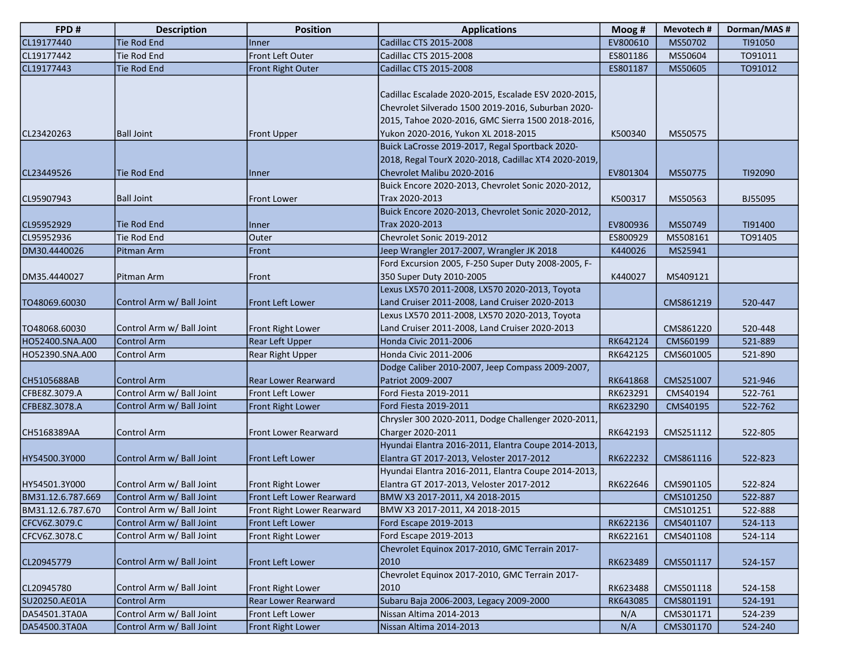| FPD#                         | <b>Description</b>                       | <b>Position</b>                                         | <b>Applications</b>                                                                                                                                                                                    | Moog #               | Mevotech#             | Dorman/MAS#        |
|------------------------------|------------------------------------------|---------------------------------------------------------|--------------------------------------------------------------------------------------------------------------------------------------------------------------------------------------------------------|----------------------|-----------------------|--------------------|
| CL19177440                   | <b>Tie Rod End</b>                       | <b>Inner</b>                                            | Cadillac CTS 2015-2008                                                                                                                                                                                 | EV800610             | MS50702               | TI91050            |
| CL19177442                   | Tie Rod End                              | Front Left Outer                                        | Cadillac CTS 2015-2008                                                                                                                                                                                 | ES801186             | MS50604               | T091011            |
| CL19177443                   | Tie Rod End                              | Front Right Outer                                       | Cadillac CTS 2015-2008                                                                                                                                                                                 | ES801187             | MS50605               | TO91012            |
| CL23420263                   | <b>Ball Joint</b>                        | <b>Front Upper</b>                                      | Cadillac Escalade 2020-2015, Escalade ESV 2020-2015,<br>Chevrolet Silverado 1500 2019-2016, Suburban 2020-<br>2015, Tahoe 2020-2016, GMC Sierra 1500 2018-2016,<br>Yukon 2020-2016, Yukon XL 2018-2015 | K500340              | MS50575               |                    |
|                              |                                          |                                                         | Buick LaCrosse 2019-2017, Regal Sportback 2020-                                                                                                                                                        |                      |                       |                    |
| CL23449526                   | Tie Rod End                              | Inner                                                   | 2018, Regal TourX 2020-2018, Cadillac XT4 2020-2019,<br>Chevrolet Malibu 2020-2016                                                                                                                     | EV801304             | MS50775               | TI92090            |
| CL95907943                   | <b>Ball Joint</b>                        | <b>Front Lower</b>                                      | Buick Encore 2020-2013, Chevrolet Sonic 2020-2012,<br>Trax 2020-2013                                                                                                                                   | K500317              | MS50563               | BJ55095            |
| CL95952929                   | Tie Rod End                              | Inner                                                   | Buick Encore 2020-2013, Chevrolet Sonic 2020-2012,<br>Trax 2020-2013                                                                                                                                   | EV800936             | MS50749               | TI91400            |
| CL95952936                   | Tie Rod End                              | Outer                                                   | Chevrolet Sonic 2019-2012                                                                                                                                                                              | ES800929             | MS508161              | TO91405            |
| DM30.4440026                 | Pitman Arm                               | Front                                                   | Jeep Wrangler 2017-2007, Wrangler JK 2018                                                                                                                                                              | K440026              | MS25941               |                    |
| DM35.4440027                 | Pitman Arm                               | Front                                                   | Ford Excursion 2005, F-250 Super Duty 2008-2005, F-<br>350 Super Duty 2010-2005                                                                                                                        | K440027              | MS409121              |                    |
| TO48069.60030                | Control Arm w/ Ball Joint                | Front Left Lower                                        | Lexus LX570 2011-2008, LX570 2020-2013, Toyota<br>Land Cruiser 2011-2008, Land Cruiser 2020-2013                                                                                                       |                      | CMS861219             | 520-447            |
| TO48068.60030                | Control Arm w/ Ball Joint                | Front Right Lower                                       | Lexus LX570 2011-2008, LX570 2020-2013, Toyota<br>Land Cruiser 2011-2008, Land Cruiser 2020-2013                                                                                                       |                      | CMS861220             | 520-448            |
| HO52400.SNA.A00              | <b>Control Arm</b>                       | <b>Rear Left Upper</b>                                  | <b>Honda Civic 2011-2006</b>                                                                                                                                                                           | RK642124             | CMS60199              | 521-889            |
| HO52390.SNA.A00              | Control Arm                              | <b>Rear Right Upper</b>                                 | Honda Civic 2011-2006                                                                                                                                                                                  | RK642125             | CMS601005             | 521-890            |
| CH5105688AB                  | <b>Control Arm</b>                       | <b>Rear Lower Rearward</b>                              | Dodge Caliber 2010-2007, Jeep Compass 2009-2007,<br>Patriot 2009-2007                                                                                                                                  | RK641868             | CMS251007             | 521-946            |
| CFBE8Z.3079.A                | Control Arm w/ Ball Joint                | lFront Left Lower                                       | Ford Fiesta 2019-2011                                                                                                                                                                                  | RK623291             | CMS40194              | 522-761            |
| CFBE8Z.3078.A<br>CH5168389AA | Control Arm w/ Ball Joint<br>Control Arm | <b>Front Right Lower</b><br><b>Front Lower Rearward</b> | Ford Fiesta 2019-2011<br>Chrysler 300 2020-2011, Dodge Challenger 2020-2011,<br>Charger 2020-2011                                                                                                      | RK623290<br>RK642193 | CMS40195<br>CMS251112 | 522-762<br>522-805 |
| HY54500.3Y000                | Control Arm w/ Ball Joint                | <b>Front Left Lower</b>                                 | Hyundai Elantra 2016-2011, Elantra Coupe 2014-2013,<br>Elantra GT 2017-2013, Veloster 2017-2012                                                                                                        | RK622232             | CMS861116             | 522-823            |
| HY54501.3Y000                | Control Arm w/ Ball Joint                | <b>Front Right Lower</b>                                | Hyundai Elantra 2016-2011, Elantra Coupe 2014-2013,<br>Elantra GT 2017-2013, Veloster 2017-2012                                                                                                        | RK622646             | CMS901105             | 522-824            |
| BM31.12.6.787.669            | Control Arm w/ Ball Joint                | Front Left Lower Rearward                               | BMW X3 2017-2011, X4 2018-2015                                                                                                                                                                         |                      | CMS101250             | 522-887            |
| BM31.12.6.787.670            | Control Arm w/ Ball Joint                | Front Right Lower Rearward                              | BMW X3 2017-2011, X4 2018-2015                                                                                                                                                                         |                      | CMS101251             | 522-888            |
| CFCV6Z.3079.C                | Control Arm w/ Ball Joint                | Front Left Lower                                        | Ford Escape 2019-2013                                                                                                                                                                                  | RK622136             | CMS401107             | 524-113            |
| CFCV6Z.3078.C                | Control Arm w/ Ball Joint                | Front Right Lower                                       | Ford Escape 2019-2013                                                                                                                                                                                  | RK622161             | CMS401108             | 524-114            |
| CL20945779                   | Control Arm w/ Ball Joint                | <b>Front Left Lower</b>                                 | Chevrolet Equinox 2017-2010, GMC Terrain 2017-<br>2010                                                                                                                                                 | RK623489             | CMS501117             | 524-157            |
| CL20945780                   | Control Arm w/ Ball Joint                | <b>Front Right Lower</b>                                | Chevrolet Equinox 2017-2010, GMC Terrain 2017-<br>2010                                                                                                                                                 | RK623488             | CMS501118             | 524-158            |
| SU20250.AE01A                | <b>Control Arm</b>                       | <b>Rear Lower Rearward</b>                              | Subaru Baja 2006-2003, Legacy 2009-2000                                                                                                                                                                | RK643085             | CMS801191             | 524-191            |
| DA54501.3TA0A                | Control Arm w/ Ball Joint                | Front Left Lower                                        | Nissan Altima 2014-2013                                                                                                                                                                                | N/A                  | CMS301171             | 524-239            |
| DA54500.3TA0A                | Control Arm w/ Ball Joint                | <b>Front Right Lower</b>                                | Nissan Altima 2014-2013                                                                                                                                                                                | N/A                  | CMS301170             | 524-240            |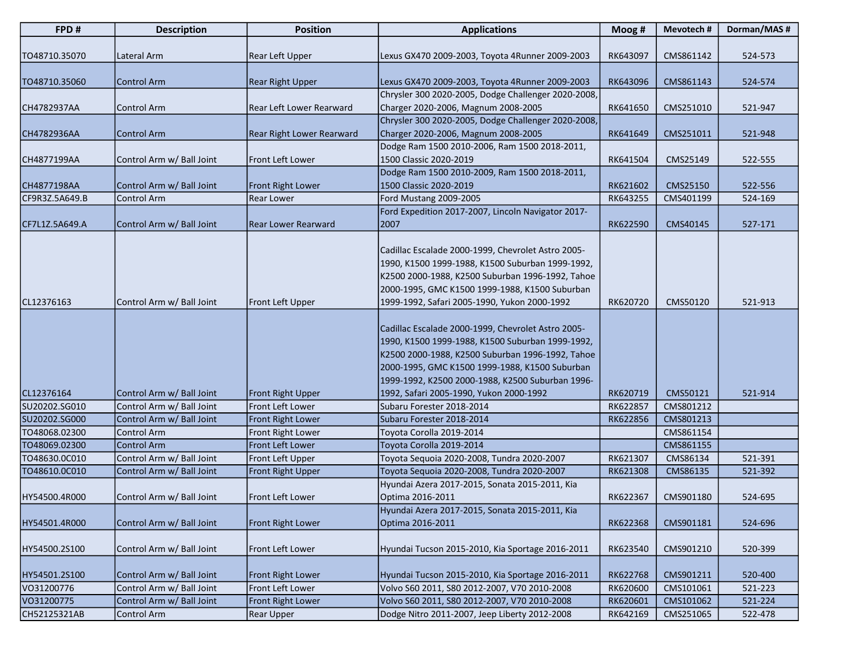| FPD#           | <b>Description</b>        | <b>Position</b>           | <b>Applications</b>                                                                                                                                                                                                                                                                                         | Moog #   | Mevotech# | Dorman/MAS# |
|----------------|---------------------------|---------------------------|-------------------------------------------------------------------------------------------------------------------------------------------------------------------------------------------------------------------------------------------------------------------------------------------------------------|----------|-----------|-------------|
| TO48710.35070  | Lateral Arm               | <b>Rear Left Upper</b>    | Lexus GX470 2009-2003, Toyota 4Runner 2009-2003                                                                                                                                                                                                                                                             | RK643097 | CMS861142 | 524-573     |
| TO48710.35060  | <b>Control Arm</b>        | <b>Rear Right Upper</b>   | Lexus GX470 2009-2003, Toyota 4Runner 2009-2003                                                                                                                                                                                                                                                             | RK643096 | CMS861143 | 524-574     |
| CH4782937AA    | Control Arm               | Rear Left Lower Rearward  | Chrysler 300 2020-2005, Dodge Challenger 2020-2008,<br>Charger 2020-2006, Magnum 2008-2005                                                                                                                                                                                                                  | RK641650 | CMS251010 | 521-947     |
| CH4782936AA    | <b>Control Arm</b>        | Rear Right Lower Rearward | Chrysler 300 2020-2005, Dodge Challenger 2020-2008,<br>Charger 2020-2006, Magnum 2008-2005                                                                                                                                                                                                                  | RK641649 | CMS251011 | 521-948     |
| CH4877199AA    | Control Arm w/ Ball Joint | Front Left Lower          | Dodge Ram 1500 2010-2006, Ram 1500 2018-2011,<br>1500 Classic 2020-2019                                                                                                                                                                                                                                     | RK641504 | CMS25149  | 522-555     |
| CH4877198AA    | Control Arm w/ Ball Joint | <b>Front Right Lower</b>  | Dodge Ram 1500 2010-2009, Ram 1500 2018-2011,<br>1500 Classic 2020-2019                                                                                                                                                                                                                                     | RK621602 | CMS25150  | 522-556     |
| CF9R3Z.5A649.B | Control Arm               | Rear Lower                | Ford Mustang 2009-2005                                                                                                                                                                                                                                                                                      | RK643255 | CMS401199 | 524-169     |
|                |                           |                           | Ford Expedition 2017-2007, Lincoln Navigator 2017-                                                                                                                                                                                                                                                          |          |           |             |
| CF7L1Z.5A649.A | Control Arm w/ Ball Joint | Rear Lower Rearward       | 2007                                                                                                                                                                                                                                                                                                        | RK622590 | CMS40145  | 527-171     |
| CL12376163     | Control Arm w/ Ball Joint | Front Left Upper          | Cadillac Escalade 2000-1999, Chevrolet Astro 2005-<br>1990, K1500 1999-1988, K1500 Suburban 1999-1992,<br>K2500 2000-1988, K2500 Suburban 1996-1992, Tahoe<br>2000-1995, GMC K1500 1999-1988, K1500 Suburban<br>1999-1992, Safari 2005-1990, Yukon 2000-1992                                                | RK620720 | CMS50120  | 521-913     |
| CL12376164     | Control Arm w/ Ball Joint | <b>Front Right Upper</b>  | Cadillac Escalade 2000-1999, Chevrolet Astro 2005-<br>1990, K1500 1999-1988, K1500 Suburban 1999-1992,<br>K2500 2000-1988, K2500 Suburban 1996-1992, Tahoe<br>2000-1995, GMC K1500 1999-1988, K1500 Suburban<br>1999-1992, K2500 2000-1988, K2500 Suburban 1996-<br>1992, Safari 2005-1990, Yukon 2000-1992 | RK620719 | CMS50121  | 521-914     |
| SU20202.SG010  | Control Arm w/ Ball Joint | Front Left Lower          | Subaru Forester 2018-2014                                                                                                                                                                                                                                                                                   | RK622857 | CMS801212 |             |
| SU20202.SG000  | Control Arm w/ Ball Joint | Front Right Lower         | Subaru Forester 2018-2014                                                                                                                                                                                                                                                                                   | RK622856 | CMS801213 |             |
| TO48068.02300  | Control Arm               | Front Right Lower         | Toyota Corolla 2019-2014                                                                                                                                                                                                                                                                                    |          | CMS861154 |             |
| TO48069.02300  | <b>Control Arm</b>        | Front Left Lower          | Toyota Corolla 2019-2014                                                                                                                                                                                                                                                                                    |          | CMS861155 |             |
| TO48630.0C010  | Control Arm w/ Ball Joint | Front Left Upper          | Toyota Seguoia 2020-2008, Tundra 2020-2007                                                                                                                                                                                                                                                                  | RK621307 | CMS86134  | 521-391     |
| TO48610.0C010  | Control Arm w/ Ball Joint | Front Right Upper         | Toyota Sequoia 2020-2008, Tundra 2020-2007                                                                                                                                                                                                                                                                  | RK621308 | CMS86135  | 521-392     |
| HY54500.4R000  | Control Arm w/ Ball Joint | Front Left Lower          | Hyundai Azera 2017-2015, Sonata 2015-2011, Kia<br>Optima 2016-2011                                                                                                                                                                                                                                          | RK622367 | CMS901180 | 524-695     |
| HY54501.4R000  | Control Arm w/ Ball Joint | <b>Front Right Lower</b>  | Hyundai Azera 2017-2015, Sonata 2015-2011, Kia<br>Optima 2016-2011                                                                                                                                                                                                                                          | RK622368 | CMS901181 | 524-696     |
| HY54500.2S100  | Control Arm w/ Ball Joint | Front Left Lower          | Hyundai Tucson 2015-2010, Kia Sportage 2016-2011                                                                                                                                                                                                                                                            | RK623540 | CMS901210 | 520-399     |
| HY54501.2S100  | Control Arm w/ Ball Joint | Front Right Lower         | Hyundai Tucson 2015-2010, Kia Sportage 2016-2011                                                                                                                                                                                                                                                            | RK622768 | CMS901211 | 520-400     |
| VO31200776     | Control Arm w/ Ball Joint | Front Left Lower          | Volvo S60 2011, S80 2012-2007, V70 2010-2008                                                                                                                                                                                                                                                                | RK620600 | CMS101061 | 521-223     |
| VO31200775     | Control Arm w/ Ball Joint | Front Right Lower         | Volvo S60 2011, S80 2012-2007, V70 2010-2008                                                                                                                                                                                                                                                                | RK620601 | CMS101062 | 521-224     |
| CH52125321AB   | Control Arm               | <b>Rear Upper</b>         | Dodge Nitro 2011-2007, Jeep Liberty 2012-2008                                                                                                                                                                                                                                                               | RK642169 | CMS251065 | 522-478     |